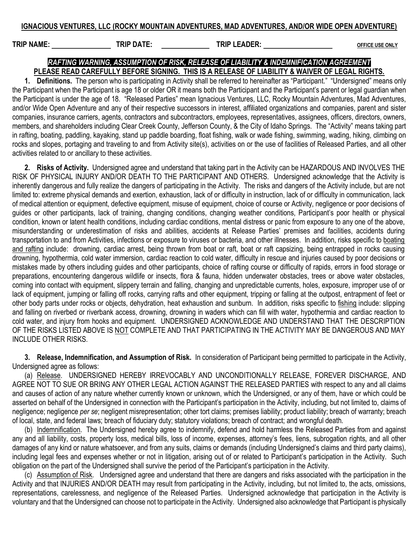## IGNACIOUS VENTURES, LLC (ROCKY MOUNTAIN ADVENTURES, MAD ADVENTURES, AND/OR WIDE OPEN ADVENTURE)

TRIP NAME: TRIP DATE: TRIP DATE: TRIP LEADER: TRIP LEADER: OFFICE USE ONLY

## RAFTING WARNING, ASSUMPTION OF RISK, RELEASE OF LIABILITY & INDEMNIFICATION AGREEMENT PLEASE READ CAREFULLY BEFORE SIGNING. THIS IS A RELEASE OF LIABILITY & WAIVER OF LEGAL RIGHTS.

1. Definitions. The person who is participating in Activity shall be referred to hereinafter as "Participant." "Undersigned" means only the Participant when the Participant is age 18 or older OR it means both the Participant and the Participant's parent or legal guardian when the Participant is under the age of 18. "Released Parties" mean Ignacious Ventures, LLC, Rocky Mountain Adventures, Mad Adventures, and/or Wide Open Adventure and any of their respective successors in interest, affiliated organizations and companies, parent and sister companies, insurance carriers, agents, contractors and subcontractors, employees, representatives, assignees, officers, directors, owners, members, and shareholders including Clear Creek County, Jefferson County, & the City of Idaho Springs. The "Activity" means taking part in rafting, boating, paddling, kayaking, stand up paddle boarding, float fishing, walk or wade fishing, swimming, wading, hiking, climbing on rocks and slopes, portaging and traveling to and from Activity site(s), activities on or the use of facilities of Released Parties, and all other activities related to or ancillary to these activities.

2. Risks of Activity. Undersigned agree and understand that taking part in the Activity can be HAZARDOUS AND INVOLVES THE RISK OF PHYSICAL INJURY AND/OR DEATH TO THE PARTICIPANT AND OTHERS. Undersigned acknowledge that the Activity is inherently dangerous and fully realize the dangers of participating in the Activity. The risks and dangers of the Activity include, but are not limited to: extreme physical demands and exertion, exhaustion, lack of or difficulty in instruction, lack of or difficulty in communication, lack of medical attention or equipment, defective equipment, misuse of equipment, choice of course or Activity, negligence or poor decisions of guides or other participants, lack of training, changing conditions, changing weather conditions, Participant's poor health or physical condition, known or latent health conditions, including cardiac conditions, mental distress or panic from exposure to any one of the above, misunderstanding or underestimation of risks and abilities, accidents at Release Parties' premises and facilities, accidents during transportation to and from Activities, infections or exposure to viruses or bacteria, and other illnesses. In addition, risks specific to boating and rafting include: drowning, cardiac arrest, being thrown from boat or raft, boat or raft capsizing, being entrapped in rocks causing drowning, hypothermia, cold water immersion, cardiac reaction to cold water, difficulty in rescue and injuries caused by poor decisions or mistakes made by others including guides and other participants, choice of rafting course or difficulty of rapids, errors in food storage or preparations, encountering dangerous wildlife or insects, flora & fauna, hidden underwater obstacles, trees or above water obstacles, coming into contact with equipment, slippery terrain and falling, changing and unpredictable currents, holes, exposure, improper use of or lack of equipment, jumping or falling off rocks, carrying rafts and other equipment, tripping or falling at the outpost, entrapment of feet or other body parts under rocks or objects, dehydration, heat exhaustion and sunburn. In addition, risks specific to fishing include: slipping and falling on riverbed or riverbank access, drowning, drowning in waders which can fill with water, hypothermia and cardiac reaction to cold water, and injury from hooks and equipment. UNDERSIGNED ACKNOWLEDGE AND UNDERSTAND THAT THE DESCRIPTION OF THE RISKS LISTED ABOVE IS NOT COMPLETE AND THAT PARTICIPATING IN THE ACTIVITY MAY BE DANGEROUS AND MAY INCLUDE OTHER RISKS.

3. Release, Indemnification, and Assumption of Risk. In consideration of Participant being permitted to participate in the Activity, Undersigned agree as follows:

(a) Release. UNDERSIGNED HEREBY IRREVOCABLY AND UNCONDITIONALLY RELEASE, FOREVER DISCHARGE, AND AGREE NOT TO SUE OR BRING ANY OTHER LEGAL ACTION AGAINST THE RELEASED PARTIES with respect to any and all claims and causes of action of any nature whether currently known or unknown, which the Undersigned, or any of them, have or which could be asserted on behalf of the Undersigned in connection with the Participant's participation in the Activity, including, but not limited to, claims of negligence; negligence per se; negligent misrepresentation; other tort claims; premises liability; product liability; breach of warranty; breach of local, state, and federal laws; breach of fiduciary duty; statutory violations; breach of contract; and wrongful death.

(b) Indemnification. The Undersigned hereby agree to indemnify, defend and hold harmless the Released Parties from and against any and all liability, costs, property loss, medical bills, loss of income, expenses, attorney's fees, liens, subrogation rights, and all other damages of any kind or nature whatsoever, and from any suits, claims or demands (including Undersigned's claims and third party claims), including legal fees and expenses whether or not in litigation, arising out of or related to Participant's participation in the Activity. Such obligation on the part of the Undersigned shall survive the period of the Participant's participation in the Activity.

(c) Assumption of Risk. Undersigned agree and understand that there are dangers and risks associated with the participation in the Activity and that INJURIES AND/OR DEATH may result from participating in the Activity, including, but not limited to, the acts, omissions, representations, carelessness, and negligence of the Released Parties. Undersigned acknowledge that participation in the Activity is voluntary and that the Undersigned can choose not to participate in the Activity. Undersigned also acknowledge that Participant is physically